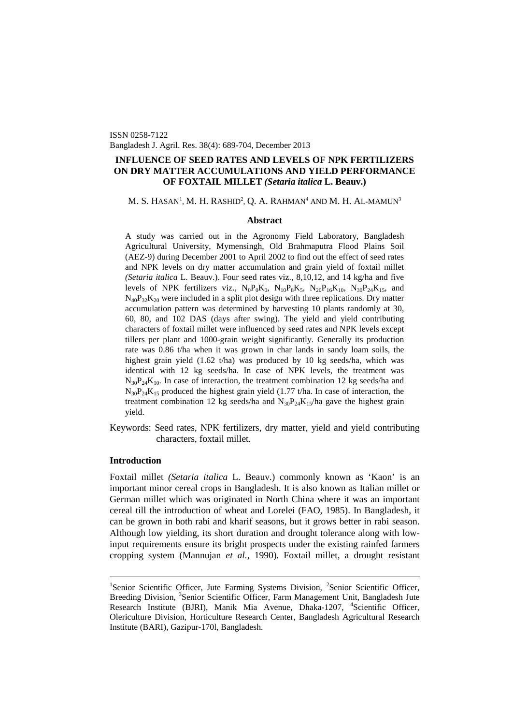ISSN 0258-7122 Bangladesh J. Agril. Res. 38(4): 689-704, December 2013

# **INFLUENCE OF SEED RATES AND LEVELS OF NPK FERTILIZERS ON DRY MATTER ACCUMULATIONS AND YIELD PERFORMANCE OF FOXTAIL MILLET** *(Setaria italica* **L. Beauv.)**

# M. S. HASAN<sup>[1](#page-0-0)</sup>, M. H. RASHID<sup>2</sup>, Q. A. RAHMAN<sup>4</sup> AND M. H. AL-MAMUN<sup>3</sup>

# **Abstract**

A study was carried out in the Agronomy Field Laboratory, Bangladesh Agricultural University, Mymensingh, Old Brahmaputra Flood Plains Soil (AEZ-9) during December 2001 to April 2002 to find out the effect of seed rates and NPK levels on dry matter accumulation and grain yield of foxtail millet *(Setaria italica* L. Beauv.). Four seed rates viz., 8,10,12, and 14 kg/ha and five levels of NPK fertilizers viz.,  $N_0P_0K_0$ ,  $N_{10}P_8K_5$ ,  $N_{20}P_{16}K_{10}$ ,  $N_{30}P_{24}K_{15}$ , and  $N_{40}P_{32}K_{20}$  were included in a split plot design with three replications. Dry matter accumulation pattern was determined by harvesting 10 plants randomly at 30, 60, 80, and 102 DAS (days after swing). The yield and yield contributing characters of foxtail millet were influenced by seed rates and NPK levels except tillers per plant and 1000-grain weight significantly. Generally its production rate was 0.86 t/ha when it was grown in char lands in sandy loam soils, the highest grain yield (1.62 t/ha) was produced by 10 kg seeds/ha, which was identical with 12 kg seeds/ha. In case of NPK levels, the treatment was  $N_{30}P_{24}K_{10}$ . In case of interaction, the treatment combination 12 kg seeds/ha and  $N_{30}P_{24}K_{15}$  produced the highest grain yield (1.77 t/ha. In case of interaction, the treatment combination 12 kg seeds/ha and  $N_{30}P_{24}K_{15}/h$ a gave the highest grain yield.

Keywords: Seed rates, NPK fertilizers, dry matter, yield and yield contributing characters, foxtail millet.

# **Introduction**

Foxtail millet *(Setaria italica* L. Beauv.) commonly known as 'Kaon' is an important minor cereal crops in Bangladesh. It is also known as Italian millet or German millet which was originated in North China where it was an important cereal till the introduction of wheat and Lorelei (FAO, 1985). In Bangladesh, it can be grown in both rabi and kharif seasons, but it grows better in rabi season. Although low yielding, its short duration and drought tolerance along with lowinput requirements ensure its bright prospects under the existing rainfed farmers cropping system (Mannujan *et al.*, 1990). Foxtail millet, a drought resistant

<span id="page-0-0"></span><sup>&</sup>lt;sup>1</sup>Senior Scientific Officer, Jute Farming Systems Division, <sup>2</sup>Senior Scientific Officer, Breeding Division, <sup>3</sup>Senior Scientific Officer, Farm Management Unit, Bangladesh Jute Research Institute (BJRI), Manik Mia Avenue, Dhaka-1207, <sup>4</sup>Scientific Officer, Olericulture Division, Horticulture Research Center, Bangladesh Agricultural Research Institute (BARI), Gazipur-170l, Bangladesh.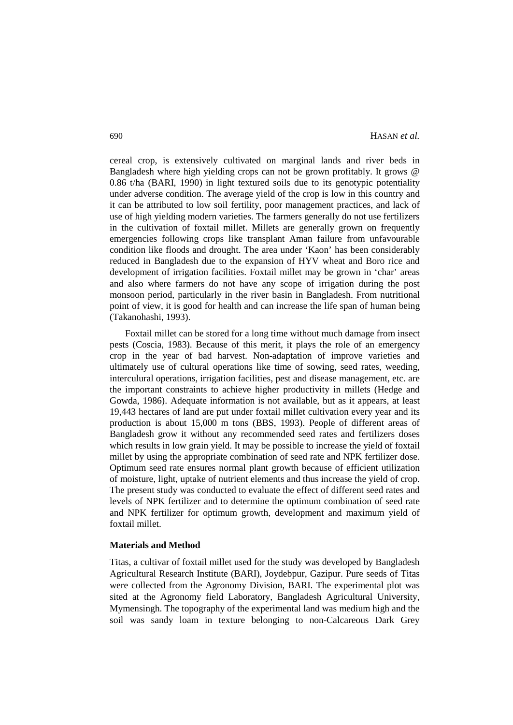cereal crop, is extensively cultivated on marginal lands and river beds in Bangladesh where high yielding crops can not be grown profitably. It grows @ 0.86 t/ha (BARI, 1990) in light textured soils due to its genotypic potentiality under adverse condition. The average yield of the crop is low in this country and it can be attributed to low soil fertility, poor management practices, and lack of use of high yielding modern varieties. The farmers generally do not use fertilizers in the cultivation of foxtail millet. Millets are generally grown on frequently emergencies following crops like transplant Aman failure from unfavourable condition like floods and drought. The area under 'Kaon' has been considerably reduced in Bangladesh due to the expansion of HYV wheat and Boro rice and development of irrigation facilities. Foxtail millet may be grown in 'char' areas and also where farmers do not have any scope of irrigation during the post monsoon period, particularly in the river basin in Bangladesh. From nutritional point of view, it is good for health and can increase the life span of human being (Takanohashi, 1993).

Foxtail millet can be stored for a long time without much damage from insect pests (Coscia, 1983). Because of this merit, it plays the role of an emergency crop in the year of bad harvest. Non-adaptation of improve varieties and ultimately use of cultural operations like time of sowing, seed rates, weeding, interculural operations, irrigation facilities, pest and disease management, etc. are the important constraints to achieve higher productivity in millets (Hedge and Gowda, 1986). Adequate information is not available, but as it appears, at least 19,443 hectares of land are put under foxtail millet cultivation every year and its production is about 15,000 m tons (BBS, 1993). People of different areas of Bangladesh grow it without any recommended seed rates and fertilizers doses which results in low grain yield. It may be possible to increase the yield of foxtail millet by using the appropriate combination of seed rate and NPK fertilizer dose. Optimum seed rate ensures normal plant growth because of efficient utilization of moisture, light, uptake of nutrient elements and thus increase the yield of crop. The present study was conducted to evaluate the effect of different seed rates and levels of NPK fertilizer and to determine the optimum combination of seed rate and NPK fertilizer for optimum growth, development and maximum yield of foxtail millet.

#### **Materials and Method**

Titas, a cultivar of foxtail millet used for the study was developed by Bangladesh Agricultural Research Institute (BARI), Joydebpur, Gazipur. Pure seeds of Titas were collected from the Agronomy Division, BARI. The experimental plot was sited at the Agronomy field Laboratory, Bangladesh Agricultural University, Mymensingh. The topography of the experimental land was medium high and the soil was sandy loam in texture belonging to non-Calcareous Dark Grey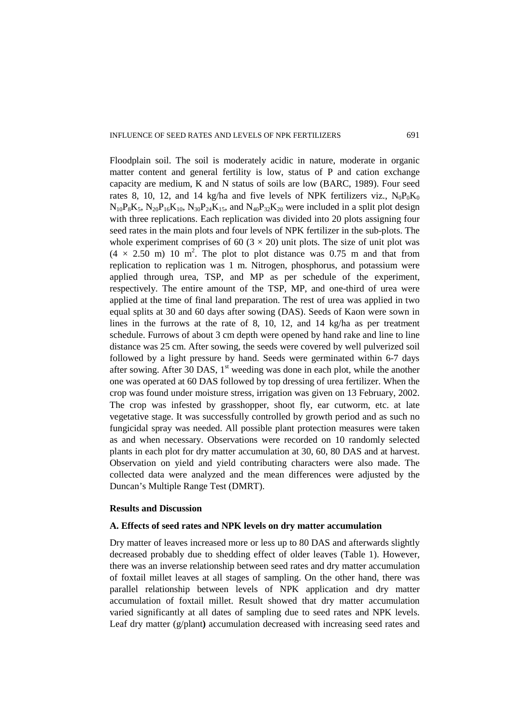Floodplain soil. The soil is moderately acidic in nature, moderate in organic matter content and general fertility is low, status of P and cation exchange capacity are medium, K and N status of soils are low (BARC, 1989). Four seed rates 8, 10, 12, and 14 kg/ha and five levels of NPK fertilizers viz.,  $N_0P_0K_0$  $N_{10}P_8K_5$ ,  $N_{20}P_{16}K_{10}$ ,  $N_{30}P_{24}K_{15}$ , and  $N_{40}P_{32}K_{20}$  were included in a split plot design with three replications. Each replication was divided into 20 plots assigning four seed rates in the main plots and four levels of NPK fertilizer in the sub-plots. The whole experiment comprises of 60 ( $3 \times 20$ ) unit plots. The size of unit plot was  $(4 \times 2.50 \text{ m})$  10 m<sup>2</sup>. The plot to plot distance was 0.75 m and that from replication to replication was 1 m. Nitrogen, phosphorus, and potassium were applied through urea, TSP, and MP as per schedule of the experiment, respectively. The entire amount of the TSP, MP, and one-third of urea were applied at the time of final land preparation. The rest of urea was applied in two equal splits at 30 and 60 days after sowing (DAS). Seeds of Kaon were sown in lines in the furrows at the rate of 8, 10, 12, and 14 kg/ha as per treatment schedule. Furrows of about 3 cm depth were opened by hand rake and line to line distance was 25 cm. After sowing, the seeds were covered by well pulverized soil followed by a light pressure by hand. Seeds were germinated within 6-7 days after sowing. After 30 DAS,  $1<sup>st</sup>$  weeding was done in each plot, while the another one was operated at 60 DAS followed by top dressing of urea fertilizer. When the crop was found under moisture stress, irrigation was given on 13 February, 2002. The crop was infested by grasshopper, shoot fly, ear cutworm, etc. at late vegetative stage. It was successfully controlled by growth period and as such no fungicidal spray was needed. All possible plant protection measures were taken as and when necessary. Observations were recorded on 10 randomly selected plants in each plot for dry matter accumulation at 30, 60, 80 DAS and at harvest. Observation on yield and yield contributing characters were also made. The collected data were analyzed and the mean differences were adjusted by the Duncan's Multiple Range Test (DMRT).

# **Results and Discussion**

### **A. Effects of seed rates and NPK levels on dry matter accumulation**

Dry matter of leaves increased more or less up to 80 DAS and afterwards slightly decreased probably due to shedding effect of older leaves (Table 1). However, there was an inverse relationship between seed rates and dry matter accumulation of foxtail millet leaves at all stages of sampling. On the other hand, there was parallel relationship between levels of NPK application and dry matter accumulation of foxtail millet. Result showed that dry matter accumulation varied significantly at all dates of sampling due to seed rates and NPK levels. Leaf dry matter (g/plant**)** accumulation decreased with increasing seed rates and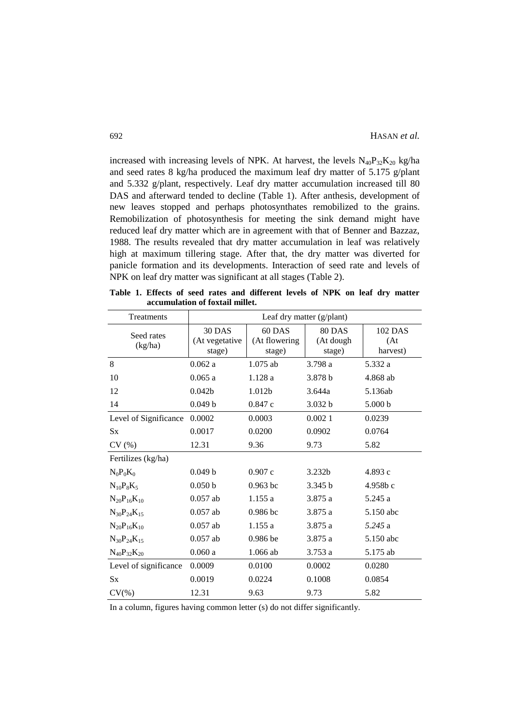increased with increasing levels of NPK. At harvest, the levels  $N_{40}P_{32}K_{20}$  kg/ha and seed rates 8 kg/ha produced the maximum leaf dry matter of 5.175 g/plant and 5.332 g/plant, respectively. Leaf dry matter accumulation increased till 80 DAS and afterward tended to decline (Table 1). After anthesis, development of new leaves stopped and perhaps photosynthates remobilized to the grains. Remobilization of photosynthesis for meeting the sink demand might have reduced leaf dry matter which are in agreement with that of Benner and Bazzaz, 1988. The results revealed that dry matter accumulation in leaf was relatively high at maximum tillering stage. After that, the dry matter was diverted for panicle formation and its developments. Interaction of seed rate and levels of NPK on leaf dry matter was significant at all stages (Table 2).

**Table 1. Effects of seed rates and different levels of NPK on leaf dry matter accumulation of foxtail millet.**

| Treatments            |                                           |                                   | Leaf dry matter (g/plant)            |                            |
|-----------------------|-------------------------------------------|-----------------------------------|--------------------------------------|----------------------------|
| Seed rates<br>(kg/ha) | <b>30 DAS</b><br>(At vegetative<br>stage) | 60 DAS<br>(At flowering<br>stage) | <b>80 DAS</b><br>(At dough<br>stage) | 102 DAS<br>(At<br>harvest) |
| 8                     | 0.062a                                    | 1.075 ab                          | 3.798 a                              | 5.332 a                    |
| 10                    | 0.065a                                    | 1.128a                            | 3.878 b                              | 4.868 ab                   |
| 12                    | 0.042 <sub>b</sub>                        | 1.012b                            | 3.644a                               | 5.136ab                    |
| 14                    | 0.049 b                                   | 0.847c                            | 3.032 b                              | 5.000 <sub>b</sub>         |
| Level of Significance | 0.0002                                    | 0.0003                            | 0.0021                               | 0.0239                     |
| $S_{X}$               | 0.0017                                    | 0.0200                            | 0.0902                               | 0.0764                     |
| CV(%)                 | 12.31                                     | 9.36                              | 9.73                                 | 5.82                       |
| Fertilizes (kg/ha)    |                                           |                                   |                                      |                            |
| $N_0P_0K_0$           | 0.049 b                                   | 0.907c                            | 3.232b                               | 4.893 c                    |
| $N_{10}P_8K_5$        | 0.050 <sub>b</sub>                        | $0.963$ bc                        | 3.345 b                              | 4.958b c                   |
| $N_{20}P_{16}K_{10}$  | $0.057$ ab                                | 1.155a                            | 3.875 a                              | 5.245 a                    |
| $N_{30}P_{24}K_{15}$  | $0.057$ ab                                | 0.986 bc                          | 3.875 a                              | 5.150 abc                  |
| $N_{20}P_{16}K_{10}$  | $0.057$ ab                                | 1.155a                            | 3.875 a                              | 5.245 a                    |
| $N_{30}P_{24}K_{15}$  | $0.057$ ab                                | $0.986$ be                        | 3.875 a                              | 5.150 abc                  |
| $N_{40}P_{32}K_{20}$  | 0.060a                                    | 1.066 ab                          | 3.753 a                              | 5.175 ab                   |
| Level of significance | 0.0009                                    | 0.0100                            | 0.0002                               | 0.0280                     |
| $S_{X}$               | 0.0019                                    | 0.0224                            | 0.1008                               | 0.0854                     |
| $CV(\% )$             | 12.31                                     | 9.63                              | 9.73                                 | 5.82                       |

In a column, figures having common letter (s) do not differ significantly.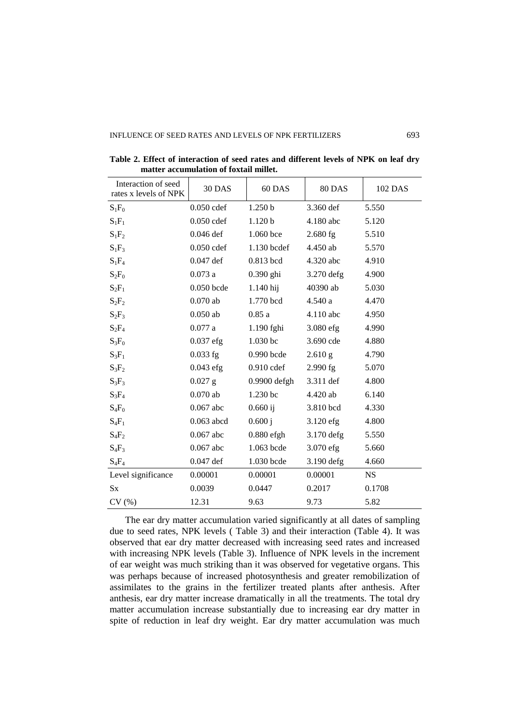| Interaction of seed<br>rates x levels of NPK | 30 DAS       | 60 DAS             | <b>80 DAS</b> | 102 DAS   |
|----------------------------------------------|--------------|--------------------|---------------|-----------|
| $S_1F_0$                                     | $0.050$ cdef | 1.250 b            | 3.360 def     | 5.550     |
| $S_1F_1$                                     | $0.050$ cdef | 1.120 <sub>b</sub> | 4.180 abc     | 5.120     |
| $S_1F_2$                                     | $0.046$ def  | 1.060 bce          | $2.680$ fg    | 5.510     |
| $S_1F_3$                                     | $0.050$ cdef | 1.130 bcdef        | 4.450 ab      | 5.570     |
| $S_1F_4$                                     | $0.047$ def  | 0.813 bcd          | 4.320 abc     | 4.910     |
| $S_2F_0$                                     | 0.073a       | $0.390$ ghi        | 3.270 defg    | 4.900     |
| $S_2F_1$                                     | $0.050$ bcde | 1.140 hij          | 40390 ab      | 5.030     |
| $S_2F_2$                                     | $0.070$ ab   | 1.770 bcd          | 4.540a        | 4.470     |
| $S_2F_3$                                     | $0.050$ ab   | 0.85a              | 4.110 abc     | 4.950     |
| $S_2F_4$                                     | 0.077a       | 1.190 fghi         | 3.080 efg     | 4.990     |
| $S_3F_0$                                     | $0.037$ efg  | 1.030 bc           | 3.690 cde     | 4.880     |
| $S_3F_1$                                     | $0.033$ fg   | 0.990 bcde         | 2.610 g       | 4.790     |
| $S_3F_2$                                     | $0.043$ efg  | 0.910 cdef         | 2.990 fg      | 5.070     |
| $S_3F_3$                                     | $0.027$ g    | $0.9900$ defgh     | 3.311 def     | 4.800     |
| $S_3F_4$                                     | $0.070$ ab   | 1.230 bc           | 4.420 ab      | 6.140     |
| $S_4F_0$                                     | $0.067$ abc  | $0.660$ ij         | 3.810 bcd     | 4.330     |
| $S_4F_1$                                     | $0.063$ abcd | 0.600 i            | 3.120 efg     | 4.800     |
| $S_4F_2$                                     | $0.067$ abc  | $0.880$ efgh       | 3.170 defg    | 5.550     |
| $S_4F_3$                                     | $0.067$ abc  | 1.063 bcde         | 3.070 efg     | 5.660     |
| $S_4F_4$                                     | 0.047 def    | 1.030 bcde         | 3.190 defg    | 4.660     |
| Level significance                           | 0.00001      | 0.00001            | 0.00001       | <b>NS</b> |
| <b>Sx</b>                                    | 0.0039       | 0.0447             | 0.2017        | 0.1708    |
| CV(%)                                        | 12.31        | 9.63               | 9.73          | 5.82      |

Table 2. Effect of interaction of seed rates and different levels of NPK on leaf dry matter accumulation of foxtail millet.

The ear dry matter accumulation varied significantly at all dates of sampling due to seed rates, NPK levels (Table 3) and their interaction (Table 4). It was observed that ear dry matter decreased with increasing seed rates and increased with increasing NPK levels (Table 3). Influence of NPK levels in the increment of ear weight was much striking than it was observed for vegetative organs. This was perhaps because of increased photosynthesis and greater remobilization of assimilates to the grains in the fertilizer treated plants after anthesis. After anthesis, ear dry matter increase dramatically in all the treatments. The total dry matter accumulation increase substantially due to increasing ear dry matter in spite of reduction in leaf dry weight. Ear dry matter accumulation was much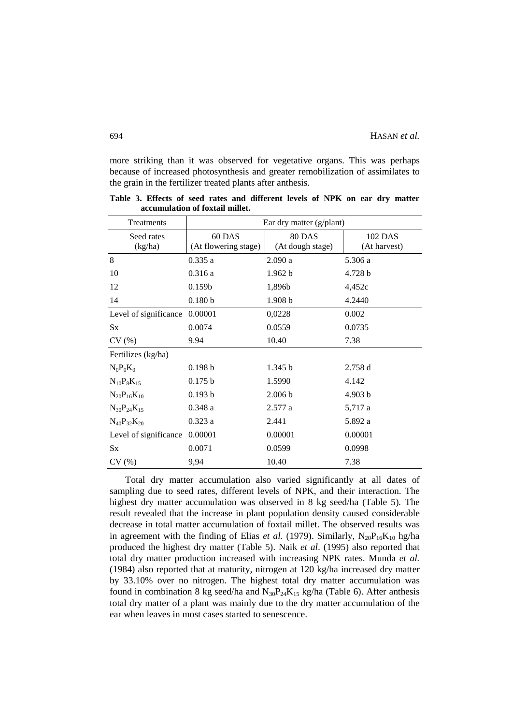more striking than it was observed for vegetative organs. This was perhaps because of increased photosynthesis and greater remobilization of assimilates to the grain in the fertilizer treated plants after anthesis.

| Treatments            | Ear dry matter (g/plant)       |                                   |                         |  |  |  |  |
|-----------------------|--------------------------------|-----------------------------------|-------------------------|--|--|--|--|
| Seed rates<br>(kg/ha) | 60 DAS<br>(At flowering stage) | <b>80 DAS</b><br>(At dough stage) | 102 DAS<br>(At harvest) |  |  |  |  |
| 8                     | 0.335a                         | 2.090a                            | 5.306 a                 |  |  |  |  |
| 10                    | 0.316a                         | 1.962 b                           | 4.728 b                 |  |  |  |  |
| 12                    | 0.159b                         | 1,896b                            | 4,452c                  |  |  |  |  |
| 14                    | 0.180 <sub>b</sub>             | 1.908 <sub>b</sub>                | 4.2440                  |  |  |  |  |
| Level of significance | 0.00001                        | 0,0228                            | 0.002                   |  |  |  |  |
| Sx                    | 0.0074                         | 0.0559                            | 0.0735                  |  |  |  |  |
| CV(%)                 | 9.94                           | 10.40                             | 7.38                    |  |  |  |  |
| Fertilizes (kg/ha)    |                                |                                   |                         |  |  |  |  |
| $N_0P_0K_0$           | 0.198 b                        | 1.345 b                           | 2.758d                  |  |  |  |  |
| $N_{10}P_8K_{15}$     | 0.175 b                        | 1.5990                            | 4.142                   |  |  |  |  |
| $N_{20}P_{16}K_{10}$  | 0.193 b                        | 2.006 b                           | 4.903 b                 |  |  |  |  |
| $N_{30}P_{24}K_{15}$  | 0.348a                         | 2.577a                            | 5,717 a                 |  |  |  |  |
| $N_{40}P_{32}K_{20}$  | 0.323a                         | 2.441                             | 5.892 a                 |  |  |  |  |
| Level of significance | 0.00001                        | 0.00001                           | 0.00001                 |  |  |  |  |
| Sx                    | 0.0071                         | 0.0599                            | 0.0998                  |  |  |  |  |
| CV(%)                 | 9,94                           | 10.40                             | 7.38                    |  |  |  |  |

**Table 3. Effects of seed rates and different levels of NPK on ear dry matter accumulation of foxtail millet.**

Total dry matter accumulation also varied significantly at all dates of sampling due to seed rates, different levels of NPK, and their interaction. The highest dry matter accumulation was observed in 8 kg seed/ha (Table 5)*.* The result revealed that the increase in plant population density caused considerable decrease in total matter accumulation of foxtail millet. The observed results was in agreement with the finding of Elias *et al.* (1979). Similarly,  $N_{20}P_{16}K_{10}$  hg/ha produced the highest dry matter (Table 5). Naik *et al*. (1995) also reported that total dry matter production increased with increasing NPK rates. Munda *et al.* (1984) also reported that at maturity, nitrogen at 120 kg/ha increased dry matter by 33.10% over no nitrogen. The highest total dry matter accumulation was found in combination 8 kg seed/ha and  $N_{30}P_{24}K_{15}$  kg/ha (Table 6). After anthesis total dry matter of a plant was mainly due to the dry matter accumulation of the ear when leaves in most cases started to senescence.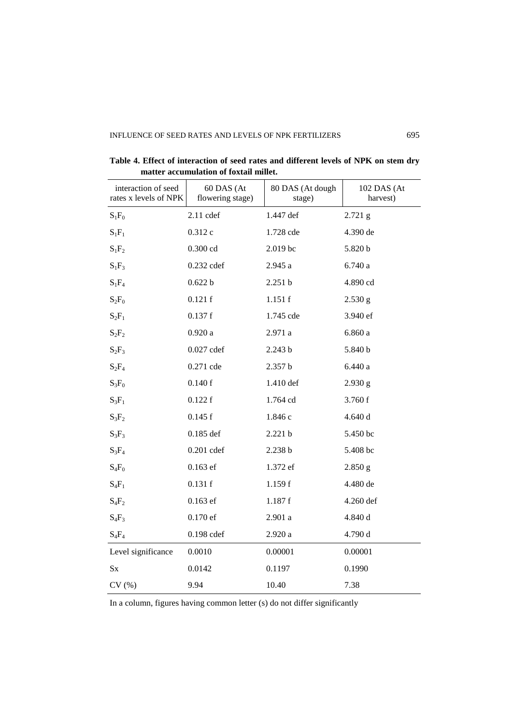| interaction of seed<br>rates x levels of NPK | 60 DAS (At<br>flowering stage) | 80 DAS (At dough<br>stage) | 102 DAS (At<br>harvest) |
|----------------------------------------------|--------------------------------|----------------------------|-------------------------|
| $S_1F_0$                                     | 2.11 cdef                      | 1.447 def                  | $2.721$ g               |
| $S_1F_1$                                     | 0.312c                         | 1.728 cde                  | 4.390 de                |
| $S_1F_2$                                     | 0.300 cd                       | 2.019 bc                   | 5.820 b                 |
| $S_1F_3$                                     | 0.232 cdef                     | 2.945 a                    | 6.740a                  |
| $S_1F_4$                                     | 0.622 b                        | 2.251 b                    | 4.890 cd                |
| $S_2F_0$                                     | 0.121 f                        | 1.151f                     | 2.530 g                 |
| $S_2F_1$                                     | 0.137 f                        | 1.745 cde                  | 3.940 ef                |
| $S_2F_2$                                     | 0.920a                         | 2.971 a                    | 6.860a                  |
| $S_2F_3$                                     | $0.027$ cdef                   | 2.243 b                    | 5.840 b                 |
| $S_2F_4$                                     | 0.271 cde                      | 2.357 b                    | 6.440 a                 |
| $S_3F_0$                                     | 0.140f                         | 1.410 def                  | 2.930 g                 |
| $S_3F_1$                                     | 0.122 f                        | 1.764 cd                   | 3.760 f                 |
| $S_3F_2$                                     | 0.145 f                        | 1.846 с                    | 4.640 d                 |
| $S_3F_3$                                     | 0.185 def                      | 2.221 b                    | 5.450 bc                |
| $S_3F_4$                                     | $0.201$ cdef                   | 2.238 b                    | 5.408 bc                |
| $S_4F_0$                                     | 0.163 ef                       | 1.372 ef                   | 2.850 g                 |
| $S_4F_1$                                     | 0.131 f                        | 1.159f                     | 4.480 de                |
| $S_4F_2$                                     | 0.163 ef                       | 1.187f                     | 4.260 def               |
| $S_4F_3$                                     | 0.170 ef                       | 2.901a                     | 4.840 d                 |
| $S_4F_4$                                     | 0.198 cdef                     | 2.920a                     | 4.790 d                 |
| Level significance                           | 0.0010                         | 0.00001                    | 0.00001                 |
| $S_{X}$                                      | 0.0142                         | 0.1197                     | 0.1990                  |
| CV(%)                                        | 9.94                           | 10.40                      | 7.38                    |

**Table 4. Effect of interaction of seed rates and different levels of NPK on stem dry matter accumulation of foxtail millet.** 

In a column, figures having common letter (s) do not differ significantly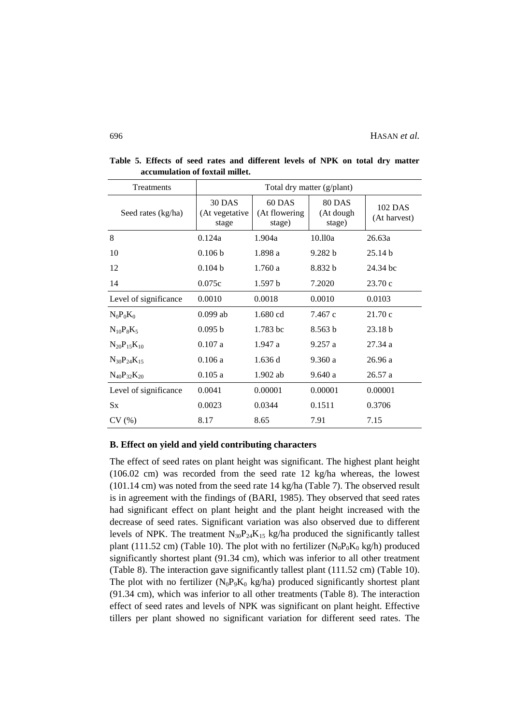| Treatments            | Total dry matter (g/plant)                                                    |          |                                      |                         |  |  |  |
|-----------------------|-------------------------------------------------------------------------------|----------|--------------------------------------|-------------------------|--|--|--|
| Seed rates (kg/ha)    | 60 DAS<br><b>30 DAS</b><br>(At flowering<br>(At vegetative<br>stage)<br>stage |          | <b>80 DAS</b><br>(At dough<br>stage) | 102 DAS<br>(At harvest) |  |  |  |
| 8                     | 0.124a                                                                        | 1.904a   | 10.110a                              | 26.63a                  |  |  |  |
| 10                    | 0.106 b                                                                       | 1.898 a  | 9.282 b                              | 25.14 b                 |  |  |  |
| 12                    | 0.104 b                                                                       | 1.760a   | 8.832 b                              | 24.34 bc                |  |  |  |
| 14                    | 0.075c                                                                        | 1.597 b  | 7.2020                               | 23.70c                  |  |  |  |
| Level of significance | 0.0010                                                                        | 0.0018   | 0.0010                               | 0.0103                  |  |  |  |
| $N_0P_0K_0$           | $0.099$ ab                                                                    | 1.680 cd | 7.467 c                              | 21.70c                  |  |  |  |
| $N_{10}P_8K_5$        | 0.095 b                                                                       | 1.783 bc | 8.563 b                              | 23.18 <sub>b</sub>      |  |  |  |
| $N_{20}P_{15}K_{10}$  | 0.107a                                                                        | 1.947a   | 9.257a                               | 27.34a                  |  |  |  |
| $N_{30}P_{24}K_{15}$  | 0.106a                                                                        | 1.636 d  | 9.360a                               | 26.96a                  |  |  |  |
| $N_{40}P_{32}K_{20}$  | 0.105a                                                                        | 1.902 ab | 9.640a                               | 26.57a                  |  |  |  |
| Level of significance | 0.0041                                                                        | 0.00001  | 0.00001                              | 0.00001                 |  |  |  |
| $S_{X}$               | 0.0023                                                                        | 0.0344   | 0.1511                               | 0.3706                  |  |  |  |
| CV(%)                 | 8.17                                                                          | 8.65     | 7.91                                 | 7.15                    |  |  |  |

**Table 5. Effects of seed rates and different levels of NPK on total dry matter accumulation of foxtail millet.**

# **B. Effect on yield and yield contributing characters**

The effect of seed rates on plant height was significant. The highest plant height (106.02 cm) was recorded from the seed rate 12 kg/ha whereas, the lowest (101.14 cm) was noted from the seed rate 14 kg/ha (Table 7). The observed result is in agreement with the findings of (BARI, 1985). They observed that seed rates had significant effect on plant height and the plant height increased with the decrease of seed rates. Significant variation was also observed due to different levels of NPK. The treatment  $N_{30}P_{24}K_{15}$  kg/ha produced the significantly tallest plant (111.52 cm) (Table 10). The plot with no fertilizer  $(N_0P_0K_0 \text{ kg/h})$  produced significantly shortest plant (91.34 cm), which was inferior to all other treatment (Table 8). The interaction gave significantly tallest plant (111.52 cm) (Table 10). The plot with no fertilizer  $(N_0P_9K_0 \text{ kg/ha})$  produced significantly shortest plant (91.34 cm), which was inferior to all other treatments (Table 8). The interaction effect of seed rates and levels of NPK was significant on plant height. Effective tillers per plant showed no significant variation for different seed rates. The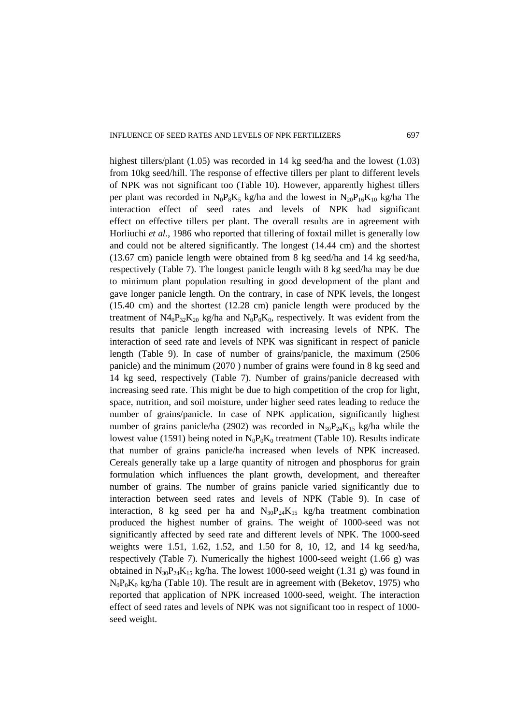highest tillers/plant (1.05) was recorded in 14 kg seed/ha and the lowest (1.03) from 10kg seed/hill. The response of effective tillers per plant to different levels of NPK was not significant too (Table 10). However, apparently highest tillers per plant was recorded in  $N_0P_8K_5$  kg/ha and the lowest in  $N_{20}P_{16}K_{10}$  kg/ha The interaction effect of seed rates and levels of NPK had significant effect on effective tillers per plant. The overall results are in agreement with Horliuchi *et al.*, 1986 who reported that tillering of foxtail millet is generally low and could not be altered significantly. The longest (14.44 cm) and the shortest (13.67 cm) panicle length were obtained from 8 kg seed/ha and 14 kg seed/ha, respectively (Table 7). The longest panicle length with 8 kg seed/ha may be due to minimum plant population resulting in good development of the plant and gave longer panicle length. On the contrary, in case of NPK levels, the longest (15.40 cm) and the shortest (12.28 cm) panicle length were produced by the treatment of  $N4_0P_{32}K_{20}$  kg/ha and  $N_0P_0K_0$ , respectively. It was evident from the results that panicle length increased with increasing levels of NPK. The interaction of seed rate and levels of NPK was significant in respect of panicle length (Table 9). In case of number of grains/panicle, the maximum (2506 panicle) and the minimum (2070 ) number of grains were found in 8 kg seed and 14 kg seed, respectively (Table 7). Number of grains/panicle decreased with increasing seed rate. This might be due to high competition of the crop for light, space, nutrition, and soil moisture, under higher seed rates leading to reduce the number of grains/panicle. In case of NPK application, significantly highest number of grains panicle/ha (2902) was recorded in  $N_{30}P_{24}K_{15}$  kg/ha while the lowest value (1591) being noted in  $N_0P_0K_0$  treatment (Table 10). Results indicate that number of grains panicle/ha increased when levels of NPK increased. Cereals generally take up a large quantity of nitrogen and phosphorus for grain formulation which influences the plant growth, development, and thereafter number of grains. The number of grains panicle varied significantly due to interaction between seed rates and levels of NPK (Table 9). In case of interaction, 8 kg seed per ha and  $N_{30}P_{24}K_{15}$  kg/ha treatment combination produced the highest number of grains. The weight of 1000-seed was not significantly affected by seed rate and different levels of NPK. The 1000-seed weights were 1.51, 1.62, 1.52, and 1.50 for 8, 10, 12, and 14 kg seed/ha, respectively (Table 7). Numerically the highest 1000-seed weight (1.66 g) was obtained in  $N_{30}P_{24}K_{15}$  kg/ha. The lowest 1000-seed weight (1.31 g) was found in  $N_0P_0K_0$  kg/ha (Table 10). The result are in agreement with (Beketov, 1975) who reported that application of NPK increased 1000-seed, weight. The interaction effect of seed rates and levels of NPK was not significant too in respect of 1000 seed weight.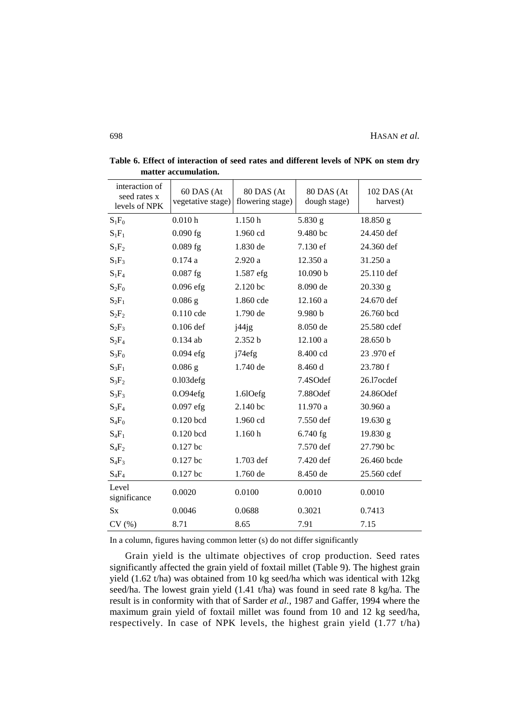| 60 DAS (At<br>vegetative stage) | 80 DAS (At<br>flowering stage) | 80 DAS (At<br>dough stage) | 102 DAS (At<br>harvest) |
|---------------------------------|--------------------------------|----------------------------|-------------------------|
| 0.010h                          | 1.150h                         | 5.830 g                    | 18.850 g                |
| $0.090$ fg                      | 1.960 cd                       | 9.480 bc                   | 24.450 def              |
| $0.089$ fg                      | 1.830 de                       | 7.130 ef                   | 24.360 def              |
| 0.174a                          | 2.920 a                        | 12.350 a                   | 31.250 a                |
| $0.087$ fg                      | 1.587 efg                      | 10.090 b                   | 25.110 def              |
| $0.096$ efg                     | 2.120 bc                       | 8.090 de                   | $20.330$ g              |
| $0.086$ g                       | 1.860 cde                      | 12.160 a                   | 24.670 def              |
| 0.110 cde                       | 1.790 de                       | 9.980 <sub>b</sub>         | 26.760 bcd              |
| 0.106 def                       | j44jg                          | 8.050 de                   | 25.580 cdef             |
| $0.134$ ab                      | 2.352 b                        | 12.100 a                   | 28.650 b                |
| $0.094$ efg                     | i74efg                         | 8.400 cd                   | 23.970 ef               |
| $0.086$ g                       | 1.740 de                       | 8.460 d                    | 23.780 f                |
| $0.103$ defg                    |                                | 7.4SOdef                   | 26.17ocdef              |
| $0.094$ efg                     | $1.6$ l $Oefg$                 | 7.88Odef                   | 24.86Odef               |
| $0.097$ efg                     | 2.140 bc                       | 11.970 a                   | 30.960 a                |
| $0.120$ bcd                     | $1.960$ cd                     | 7.550 def                  | 19.630 g                |
| $0.120$ bcd                     | 1.160h                         | 6.740 fg                   | 19.830 g                |
| 0.127 bc                        |                                | 7.570 def                  | 27.790 bc               |
| $0.127$ bc                      | 1.703 def                      | 7.420 def                  | 26.460 bcde             |
| 0.127 bc                        | 1.760 de                       | 8.450 de                   | 25.560 cdef             |
| 0.0020                          | 0.0100                         | 0.0010                     | 0.0010                  |
| 0.0046                          | 0.0688                         | 0.3021                     | 0.7413                  |
| 8.71                            | 8.65                           | 7.91                       | 7.15                    |
|                                 |                                |                            |                         |

Table 6. Effect of interaction of seed rates and different levels of NPK on stem dry matter accumulation.

In a column, figures having common letter (s) do not differ significantly

Grain yield is the ultimate objectives of crop production. Seed rates significantly affected the grain yield of foxtail millet (Table 9). The highest grain yield (1.62 t/ha) was obtained from 10 kg seed/ha which was identical with 12kg seed/ha. The lowest grain yield (1.41 t/ha) was found in seed rate 8 kg/ha. The result is in conformity with that of Sarder et al., 1987 and Gaffer, 1994 where the maximum grain yield of foxtail millet was found from 10 and 12 kg seed/ha, respectively. In case of NPK levels, the highest grain yield (1.77 t/ha)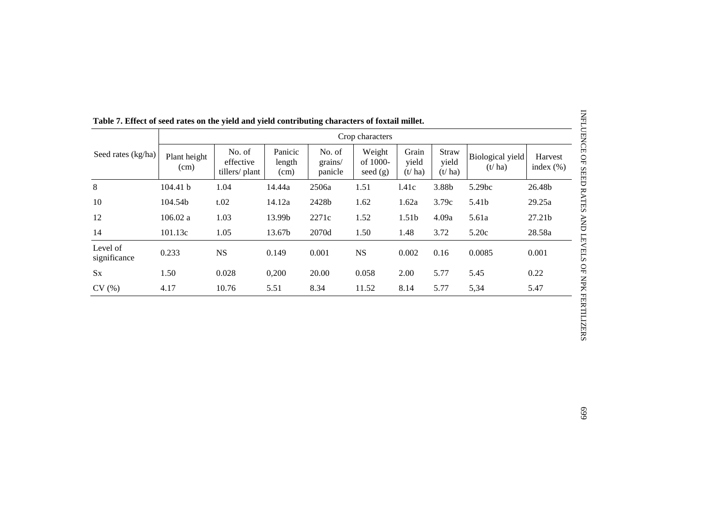| Table 7. Effect of seed rates on the yield and yield contributing enaracters of foxial numer. |                      |                                      |                           |                              |                                  |                          |                          |                            |                         |
|-----------------------------------------------------------------------------------------------|----------------------|--------------------------------------|---------------------------|------------------------------|----------------------------------|--------------------------|--------------------------|----------------------------|-------------------------|
|                                                                                               | Crop characters      |                                      |                           |                              |                                  |                          |                          |                            |                         |
| Seed rates (kg/ha)                                                                            | Plant height<br>(cm) | No. of<br>effective<br>tillers/plant | Panicic<br>length<br>(cm) | No. of<br>grains/<br>panicle | Weight<br>of 1000-<br>seed $(g)$ | Grain<br>yield<br>(t/ha) | Straw<br>yield<br>(t/ha) | Biological yield<br>(t/ha) | Harvest<br>index $(\%)$ |
| 8                                                                                             | 104.41 b             | 1.04                                 | 14.44a                    | 2506a                        | 1.51                             | 1.41c                    | 3.88b                    | 5.29bc                     | 26.48b                  |
| 10                                                                                            | 104.54b              | t.02                                 | 14.12a                    | 2428b                        | 1.62                             | 1.62a                    | 3.79c                    | 5.41b                      | 29.25a                  |
| 12                                                                                            | 106.02 a             | 1.03                                 | 13.99b                    | 2271c                        | 1.52                             | 1.51 <sub>b</sub>        | 4.09a                    | 5.61a                      | 27.21b                  |
| 14                                                                                            | 101.13c              | 1.05                                 | 13.67b                    | 2070d                        | 1.50                             | 1.48                     | 3.72                     | 5.20c                      | 28.58a                  |
| Level of<br>significance                                                                      | 0.233                | <b>NS</b>                            | 0.149                     | 0.001                        | <b>NS</b>                        | 0.002                    | 0.16                     | 0.0085                     | 0.001                   |
| $S_{X}$                                                                                       | 1.50                 | 0.028                                | 0,200                     | 20.00                        | 0.058                            | 2.00                     | 5.77                     | 5.45                       | 0.22                    |
| CV(%)                                                                                         | 4.17                 | 10.76                                | 5.51                      | 8.34                         | 11.52                            | 8.14                     | 5.77                     | 5,34                       | 5.47                    |

**Table 7. Effect of seed rates on the yield and yield contributing characters of foxtail millet.**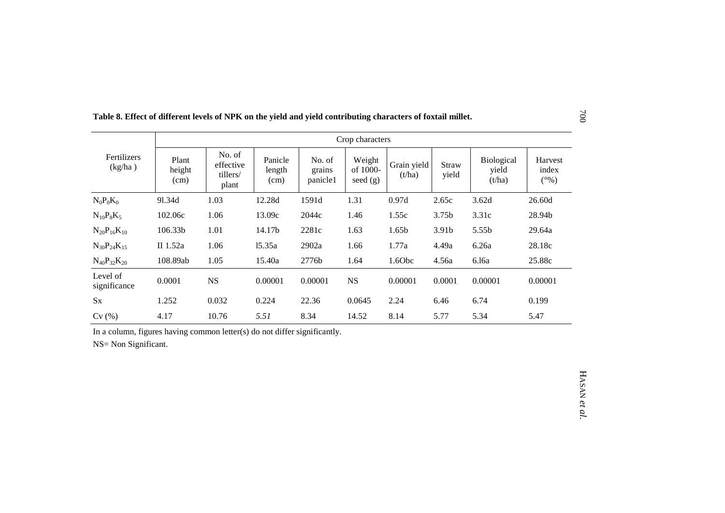|                               |                         | Crop characters                          |                           |                              |                                  |                       |                   |                               |                                    |  |
|-------------------------------|-------------------------|------------------------------------------|---------------------------|------------------------------|----------------------------------|-----------------------|-------------------|-------------------------------|------------------------------------|--|
| <b>Fertilizers</b><br>(kg/ha) | Plant<br>height<br>(cm) | No. of<br>effective<br>tillers/<br>plant | Panicle<br>length<br>(cm) | No. of<br>grains<br>panicle1 | Weight<br>of 1000-<br>seed $(g)$ | Grain yield<br>(t/ha) | Straw<br>yield    | Biological<br>yield<br>(t/ha) | <b>Harvest</b><br>index<br>$(°\%)$ |  |
| $N_0P_0K_0$                   | 91.34d                  | 1.03                                     | 12.28d                    | 1591d                        | 1.31                             | 0.97d                 | 2.65c             | 3.62d                         | 26.60d                             |  |
| $N_{10}P_8K_5$                | 102.06c                 | 1.06                                     | 13.09c                    | 2044c                        | 1.46                             | 1.55c                 | 3.75 <sub>b</sub> | 3.31c                         | 28.94b                             |  |
| $N_{20}P_{16}K_{10}$          | 106.33b                 | 1.01                                     | 14.17b                    | 2281c                        | 1.63                             | 1.65b                 | 3.91b             | 5.55b                         | 29.64a                             |  |
| $N_{30}P_{24}K_{15}$          | II 1.52a                | 1.06                                     | 15.35a                    | 2902a                        | 1.66                             | 1.77a                 | 4.49a             | 6.26a                         | 28.18c                             |  |
| $N_{40}P_{32}K_{20}$          | 108.89ab                | 1.05                                     | 15.40a                    | 2776b                        | 1.64                             | 1.60bc                | 4.56a             | 6.16a                         | 25.88c                             |  |
| Level of<br>significance      | 0.0001                  | <b>NS</b>                                | 0.00001                   | 0.00001                      | <b>NS</b>                        | 0.00001               | 0.0001            | 0.00001                       | 0.00001                            |  |
| $S_{X}$                       | 1.252                   | 0.032                                    | 0.224                     | 22.36                        | 0.0645                           | 2.24                  | 6.46              | 6.74                          | 0.199                              |  |
| Cv(%)                         | 4.17                    | 10.76                                    | 5.51                      | 8.34                         | 14.52                            | 8.14                  | 5.77              | 5.34                          | 5.47                               |  |

**Table 8. Effect of different levels of NPK on the yield and yield contributing characters of foxtail millet.**

In a column, figures having common letter(s) do not differ significantly.

NS= Non Significant.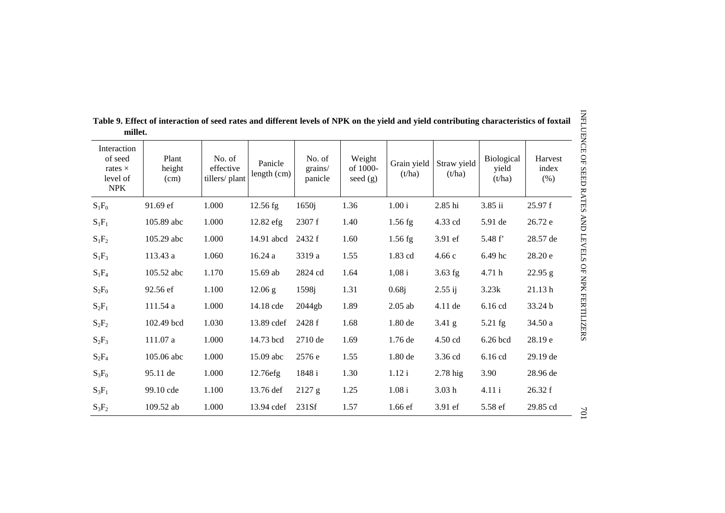| пшись.                                                             |                         |                                      |                        |                              |                                |                       |                       |                                      |                          |
|--------------------------------------------------------------------|-------------------------|--------------------------------------|------------------------|------------------------------|--------------------------------|-----------------------|-----------------------|--------------------------------------|--------------------------|
| Interaction<br>of seed<br>rates $\times$<br>level of<br><b>NPK</b> | Plant<br>height<br>(cm) | No. of<br>effective<br>tillers/plant | Panicle<br>length (cm) | No. of<br>grains/<br>panicle | Weight<br>of 1000-<br>seed (g) | Grain yield<br>(t/ha) | Straw yield<br>(t/ha) | <b>Biological</b><br>yield<br>(t/ha) | Harvest<br>index<br>(% ) |
| $S_1F_0$                                                           | 91.69 ef                | 1.000                                | $12.56$ fg             | 1650j                        | 1.36                           | 1.00i                 | 2.85 hi               | 3.85 ii                              | 25.97 f                  |
| $S_1F_1$                                                           | 105.89 abc              | 1.000                                | 12.82 efg              | 2307 f                       | 1.40                           | $1.56$ fg             | 4.33 cd               | 5.91 de                              | 26.72 e                  |
| $S_1F_2$                                                           | 105.29 abc              | 1.000                                | 14.91 abcd             | 2432 f                       | 1.60                           | $1.56$ fg             | 3.91 ef               | 5.48 f                               | 28.57 de                 |
| $S_1F_3$                                                           | 113.43 a                | 1.060                                | 16.24a                 | 3319 a                       | 1.55                           | 1.83 cd               | 4.66c                 | 6.49 hc                              | 28.20 e                  |
| $S_1F_4$                                                           | 105.52 abc              | 1.170                                | 15.69 ab               | 2824 cd                      | 1.64                           | 1,08i                 | $3.63$ fg             | 4.71 h                               | 22.95 g                  |
| $S_2F_0$                                                           | 92.56 ef                | 1.100                                | 12.06 g                | 1598 <sub>1</sub>            | 1.31                           | 0.68j                 | $2.55$ ij             | 3.23k                                | 21.13h                   |
| $S_2F_1$                                                           | 111.54 a                | 1.000                                | 14.18 cde              | 2044gb                       | 1.89                           | $2.05$ ab             | 4.11 de               | 6.16 cd                              | 33.24 b                  |
| $S_2F_2$                                                           | 102.49 bcd              | 1.030                                | 13.89 cdef             | 2428 f                       | 1.68                           | 1.80 de               | $3.41$ g              | $5.21$ fg                            | 34.50 a                  |
| $S_2F_3$                                                           | 111.07a                 | 1.000                                | 14.73 bcd              | 2710 de                      | 1.69                           | 1.76 de               | $4.50$ cd             | 6.26 bcd                             | 28.19 e                  |
| $S_2F_4$                                                           | 105.06 abc              | 1.000                                | 15.09 abc              | 2576 e                       | 1.55                           | 1.80 de               | 3.36 cd               | 6.16 cd                              | 29.19 de                 |
| $S_3F_0$                                                           | 95.11 de                | 1.000                                | 12.76efg               | 1848 i                       | 1.30                           | 1.12i                 | $2.78$ hig            | 3.90                                 | 28.96 de                 |
| $S_3F_1$                                                           | 99.10 cde               | 1.100                                | 13.76 def              | 2127 g                       | 1.25                           | 1.08i                 | 3.03h                 | 4.11i                                | 26.32 f                  |
| $S_3F_2$                                                           | 109.52 ab               | 1.000                                | 13.94 cdef             | 231Sf                        | 1.57                           | $1.66$ ef             | 3.91 ef               | 5.58 ef                              | 29.85 cd                 |

Table 9. Effect of interaction of seed rates and different levels of NPK on the yield and yield contributing characteristics of foxtail  $\overline{\text{E}}$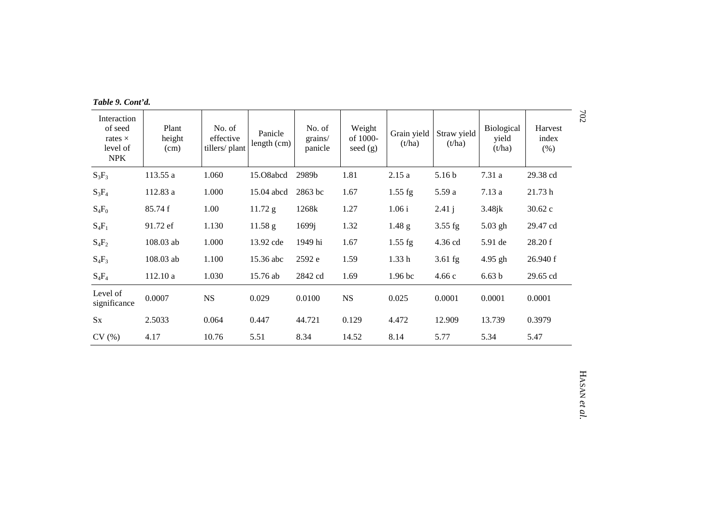| Table 9. Cont'd. |  |
|------------------|--|

| Interaction<br>of seed<br>rates $\times$<br>level of<br><b>NPK</b> | Plant<br>height<br>(cm) | No. of<br>effective<br>tillers/plant | Panicle<br>length (cm) | No. of<br>grains/<br>panicle | Weight<br>of 1000-<br>seed (g) | Grain yield<br>(t/ha) | Straw yield<br>(t/ha) | Biological<br>yield<br>(t/ha) | 702<br>Harvest<br>index<br>(% ) |
|--------------------------------------------------------------------|-------------------------|--------------------------------------|------------------------|------------------------------|--------------------------------|-----------------------|-----------------------|-------------------------------|---------------------------------|
| $S_3F_3$                                                           | 113.55 a                | 1.060                                | 15.08abcd              | 2989b                        | 1.81                           | 2.15a                 | 5.16 <sub>b</sub>     | 7.31 a                        | 29.38 cd                        |
| $S_3F_4$                                                           | 112.83 a                | 1.000                                | 15.04 abcd             | 2863 bc                      | 1.67                           | $1.55$ fg             | 5.59 a                | 7.13a                         | 21.73h                          |
| $S_4F_0$                                                           | 85.74 f                 | 1.00                                 | 11.72 g                | 1268k                        | 1.27                           | 1.06i                 | 2.41 i                | $3.48$ j $k$                  | 30.62c                          |
| $S_4F_1$                                                           | 91.72 ef                | 1.130                                | 11.58 g                | $1699$ j                     | 1.32                           | $1.48\text{ g}$       | $3.55$ fg             | $5.03$ gh                     | 29.47 cd                        |
| $S_4F_2$                                                           | 108.03 ab               | 1.000                                | 13.92 cde              | 1949 hi                      | 1.67                           | $1.55$ fg             | 4.36 cd               | 5.91 de                       | 28.20 f                         |
| $S_4F_3$                                                           | 108.03 ab               | 1.100                                | 15.36 abc              | 2592 e                       | 1.59                           | 1.33h                 | $3.61$ fg             | $4.95$ gh                     | 26.940 f                        |
| $S_4F_4$                                                           | 112.10a                 | 1.030                                | 15.76 ab               | 2842 cd                      | 1.69                           | 1.96 <sub>bc</sub>    | 4.66c                 | 6.63 <sub>b</sub>             | 29.65 cd                        |
| Level of<br>significance                                           | 0.0007                  | $_{\rm NS}$                          | 0.029                  | 0.0100                       | $_{\rm NS}$                    | 0.025                 | 0.0001                | 0.0001                        | 0.0001                          |
| $S_{X}$                                                            | 2.5033                  | 0.064                                | 0.447                  | 44.721                       | 0.129                          | 4.472                 | 12.909                | 13.739                        | 0.3979                          |
| CV(%)                                                              | 4.17                    | 10.76                                | 5.51                   | 8.34                         | 14.52                          | 8.14                  | 5.77                  | 5.34                          | 5.47                            |

HASAN et al.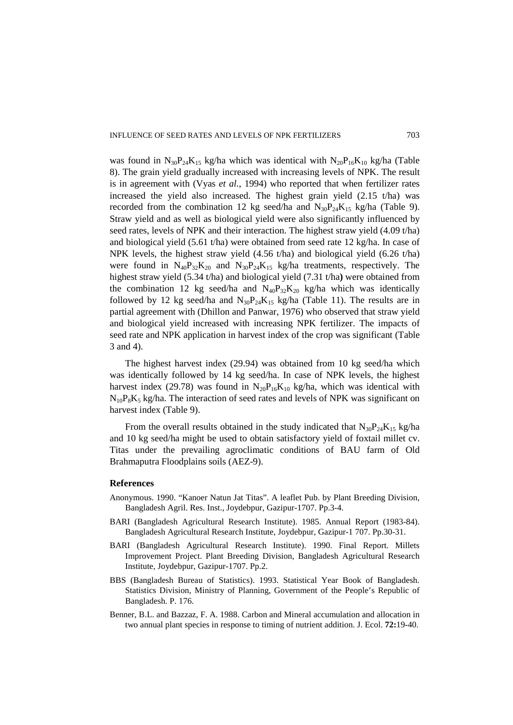was found in  $N_{30}P_{24}K_{15}$  kg/ha which was identical with  $N_{20}P_{16}K_{10}$  kg/ha (Table 8). The grain yield gradually increased with increasing levels of NPK. The result is in agreement with (Vyas *et al.,* 1994) who reported that when fertilizer rates increased the yield also increased. The highest grain yield (2.15 t/ha) was recorded from the combination 12 kg seed/ha and  $N_{30}P_{24}K_{15}$  kg/ha (Table 9). Straw yield and as well as biological yield were also significantly influenced by seed rates, levels of NPK and their interaction. The highest straw yield (4.09 t/ha) and biological yield (5.61 t/ha) were obtained from seed rate 12 kg/ha. In case of NPK levels, the highest straw yield (4.56 t/ha) and biological yield (6.26 t/ha) were found in  $N_{40}P_{32}K_{20}$  and  $N_{30}P_{24}K_{15}$  kg/ha treatments, respectively. The highest straw yield (5.34 t/ha) and biological yield (7.31 t/ha**)** were obtained from the combination 12 kg seed/ha and  $N_{40}P_{32}K_{20}$  kg/ha which was identically followed by 12 kg seed/ha and  $N_{30}P_{24}K_{15}$  kg/ha (Table 11). The results are in partial agreement with (Dhillon and Panwar, 1976) who observed that straw yield and biological yield increased with increasing NPK fertilizer. The impacts of seed rate and NPK application in harvest index of the crop was significant (Table 3 and 4).

The highest harvest index (29.94) was obtained from 10 kg seed/ha which was identically followed by 14 kg seed/ha. In case of NPK levels, the highest harvest index (29.78) was found in  $N_{20}P_{16}K_{10}$  kg/ha, which was identical with  $N_{10}P_8K_5$  kg/ha. The interaction of seed rates and levels of NPK was significant on harvest index (Table 9).

From the overall results obtained in the study indicated that  $N_{30}P_{24}K_{15}$  kg/ha and 10 kg seed/ha might be used to obtain satisfactory yield of foxtail millet cv. Titas under the prevailing agroclimatic conditions of BAU farm of Old Brahmaputra Floodplains soils (AEZ-9).

#### **References**

- Anonymous. 1990. "Kanoer Natun Jat Titas". A leaflet Pub. by Plant Breeding Division, Bangladesh Agril. Res. Inst., Joydebpur, Gazipur-1707. Pp.3-4.
- BARI (Bangladesh Agricultural Research Institute). 1985. Annual Report (1983-84). Bangladesh Agricultural Research Institute, Joydebpur, Gazipur-1 707. Pp.30-31.
- BARI (Bangladesh Agricultural Research Institute). 1990. Final Report. Millets Improvement Project. Plant Breeding Division, Bangladesh Agricultural Research Institute, Joydebpur, Gazipur-1707. Pp.2.
- BBS (Bangladesh Bureau of Statistics). 1993. Statistical Year Book of Bangladesh. Statistics Division, Ministry of Planning, Government of the People's Republic of Bangladesh. P. 176.
- Benner, B.L. and Bazzaz, F. A. 1988. Carbon and Mineral accumulation and allocation in two annual plant species in response to timing of nutrient addition. J. Ecol. **72:**19-40.